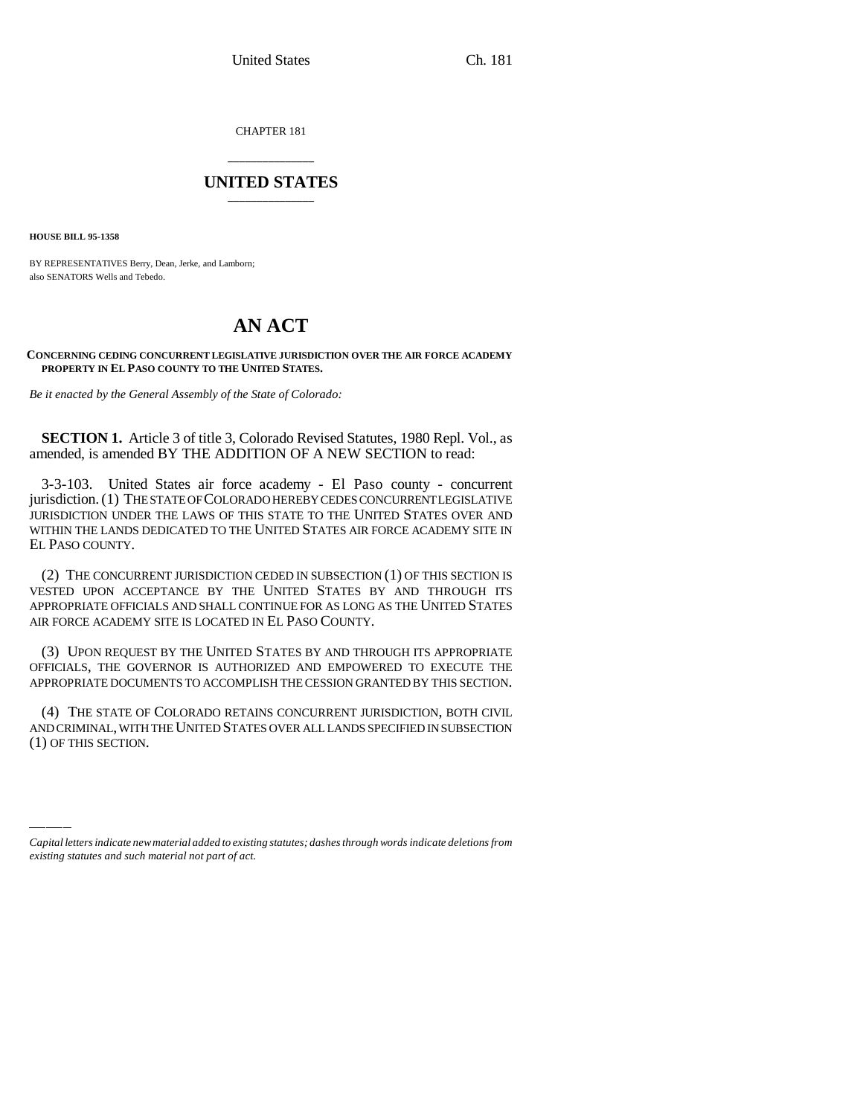CHAPTER 181

## **\_\_\_\_\_\_\_\_\_\_\_\_\_\_\_ UNITED STATES \_\_\_\_\_\_\_\_\_\_\_\_\_\_\_**

**HOUSE BILL 95-1358**

BY REPRESENTATIVES Berry, Dean, Jerke, and Lamborn; also SENATORS Wells and Tebedo.

## **AN ACT**

**CONCERNING CEDING CONCURRENT LEGISLATIVE JURISDICTION OVER THE AIR FORCE ACADEMY PROPERTY IN EL PASO COUNTY TO THE UNITED STATES.**

*Be it enacted by the General Assembly of the State of Colorado:*

**SECTION 1.** Article 3 of title 3, Colorado Revised Statutes, 1980 Repl. Vol., as amended, is amended BY THE ADDITION OF A NEW SECTION to read:

3-3-103. United States air force academy - El Paso county - concurrent jurisdiction. (1) THE STATE OF COLORADO HEREBY CEDES CONCURRENT LEGISLATIVE JURISDICTION UNDER THE LAWS OF THIS STATE TO THE UNITED STATES OVER AND WITHIN THE LANDS DEDICATED TO THE UNITED STATES AIR FORCE ACADEMY SITE IN EL PASO COUNTY.

(2) THE CONCURRENT JURISDICTION CEDED IN SUBSECTION (1) OF THIS SECTION IS VESTED UPON ACCEPTANCE BY THE UNITED STATES BY AND THROUGH ITS APPROPRIATE OFFICIALS AND SHALL CONTINUE FOR AS LONG AS THE UNITED STATES AIR FORCE ACADEMY SITE IS LOCATED IN EL PASO COUNTY.

(3) UPON REQUEST BY THE UNITED STATES BY AND THROUGH ITS APPROPRIATE OFFICIALS, THE GOVERNOR IS AUTHORIZED AND EMPOWERED TO EXECUTE THE APPROPRIATE DOCUMENTS TO ACCOMPLISH THE CESSION GRANTED BY THIS SECTION.

AND CRIMINAL, WITH THE UNITED STATES OVER ALL LANDS SPECIFIED IN SUBSECTION (4) THE STATE OF COLORADO RETAINS CONCURRENT JURISDICTION, BOTH CIVIL (1) OF THIS SECTION.

*Capital letters indicate new material added to existing statutes; dashes through words indicate deletions from existing statutes and such material not part of act.*